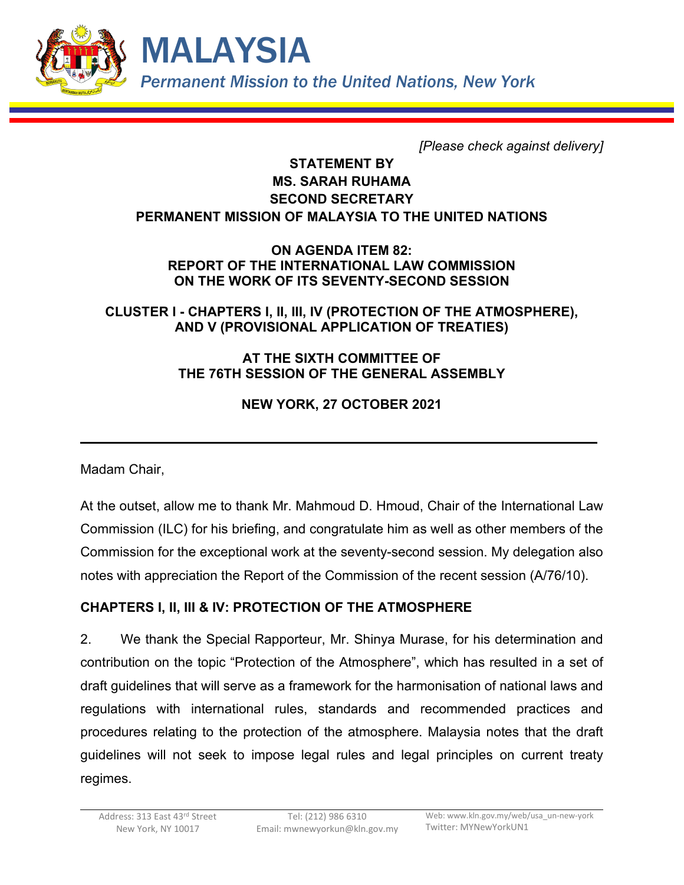

*[Please check against delivery]*

## **STATEMENT BY MS. SARAH RUHAMA SECOND SECRETARY PERMANENT MISSION OF MALAYSIA TO THE UNITED NATIONS**

### **ON AGENDA ITEM 82: REPORT OF THE INTERNATIONAL LAW COMMISSION ON THE WORK OF ITS SEVENTY-SECOND SESSION**

## **CLUSTER I - CHAPTERS I, II, III, IV (PROTECTION OF THE ATMOSPHERE), AND V (PROVISIONAL APPLICATION OF TREATIES)**

### **AT THE SIXTH COMMITTEE OF THE 76TH SESSION OF THE GENERAL ASSEMBLY**

# **NEW YORK, 27 OCTOBER 2021**

Madam Chair,

At the outset, allow me to thank Mr. Mahmoud D. Hmoud, Chair of the International Law Commission (ILC) for his briefing, and congratulate him as well as other members of the Commission for the exceptional work at the seventy-second session. My delegation also notes with appreciation the Report of the Commission of the recent session (A/76/10).

# **CHAPTERS I, II, III & IV: PROTECTION OF THE ATMOSPHERE**

2. We thank the Special Rapporteur, Mr. Shinya Murase, for his determination and contribution on the topic "Protection of the Atmosphere", which has resulted in a set of draft guidelines that will serve as a framework for the harmonisation of national laws and regulations with international rules, standards and recommended practices and procedures relating to the protection of the atmosphere. Malaysia notes that the draft guidelines will not seek to impose legal rules and legal principles on current treaty regimes.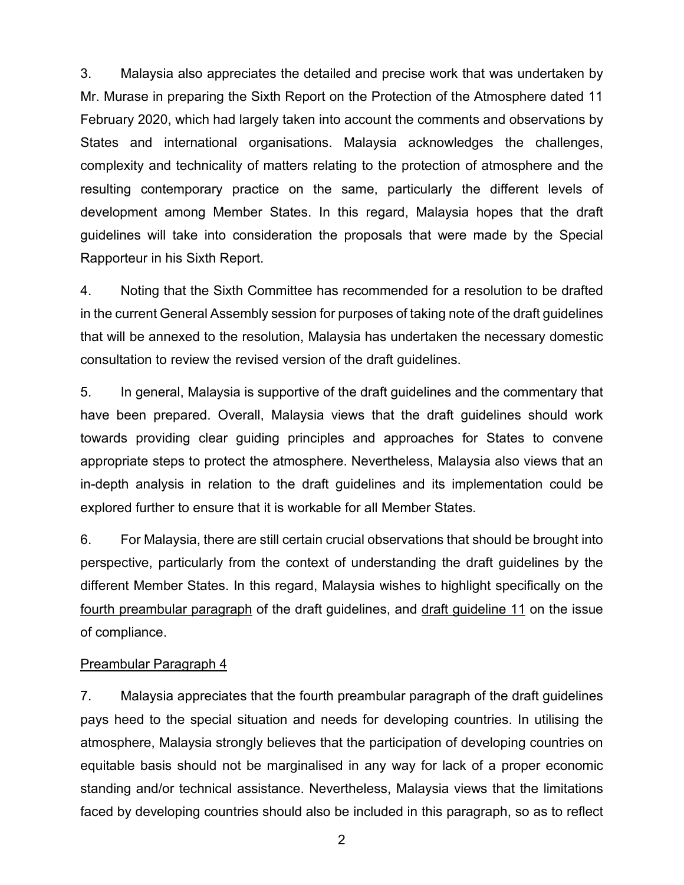3. Malaysia also appreciates the detailed and precise work that was undertaken by Mr. Murase in preparing the Sixth Report on the Protection of the Atmosphere dated 11 February 2020, which had largely taken into account the comments and observations by States and international organisations. Malaysia acknowledges the challenges, complexity and technicality of matters relating to the protection of atmosphere and the resulting contemporary practice on the same, particularly the different levels of development among Member States. In this regard, Malaysia hopes that the draft guidelines will take into consideration the proposals that were made by the Special Rapporteur in his Sixth Report.

4. Noting that the Sixth Committee has recommended for a resolution to be drafted in the current General Assembly session for purposes of taking note of the draft guidelines that will be annexed to the resolution, Malaysia has undertaken the necessary domestic consultation to review the revised version of the draft guidelines.

5. In general, Malaysia is supportive of the draft guidelines and the commentary that have been prepared. Overall, Malaysia views that the draft guidelines should work towards providing clear guiding principles and approaches for States to convene appropriate steps to protect the atmosphere. Nevertheless, Malaysia also views that an in-depth analysis in relation to the draft guidelines and its implementation could be explored further to ensure that it is workable for all Member States.

6. For Malaysia, there are still certain crucial observations that should be brought into perspective, particularly from the context of understanding the draft guidelines by the different Member States. In this regard, Malaysia wishes to highlight specifically on the fourth preambular paragraph of the draft guidelines, and draft guideline 11 on the issue of compliance.

#### Preambular Paragraph 4

7. Malaysia appreciates that the fourth preambular paragraph of the draft guidelines pays heed to the special situation and needs for developing countries. In utilising the atmosphere, Malaysia strongly believes that the participation of developing countries on equitable basis should not be marginalised in any way for lack of a proper economic standing and/or technical assistance. Nevertheless, Malaysia views that the limitations faced by developing countries should also be included in this paragraph, so as to reflect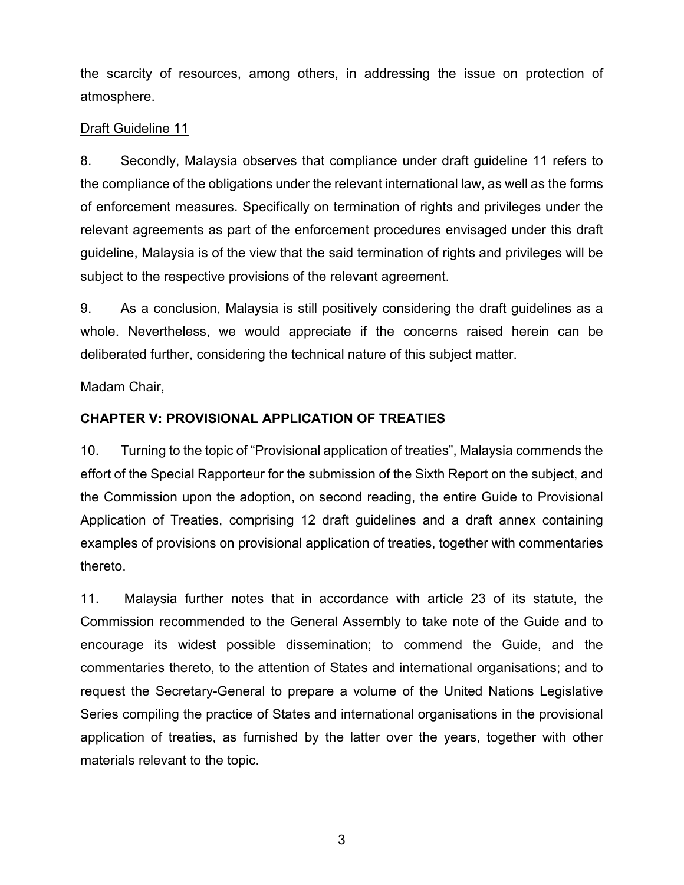the scarcity of resources, among others, in addressing the issue on protection of atmosphere.

### Draft Guideline 11

8. Secondly, Malaysia observes that compliance under draft guideline 11 refers to the compliance of the obligations under the relevant international law, as well as the forms of enforcement measures. Specifically on termination of rights and privileges under the relevant agreements as part of the enforcement procedures envisaged under this draft guideline, Malaysia is of the view that the said termination of rights and privileges will be subject to the respective provisions of the relevant agreement.

9. As a conclusion, Malaysia is still positively considering the draft guidelines as a whole. Nevertheless, we would appreciate if the concerns raised herein can be deliberated further, considering the technical nature of this subject matter.

Madam Chair,

## **CHAPTER V: PROVISIONAL APPLICATION OF TREATIES**

10. Turning to the topic of "Provisional application of treaties", Malaysia commends the effort of the Special Rapporteur for the submission of the Sixth Report on the subject, and the Commission upon the adoption, on second reading, the entire Guide to Provisional Application of Treaties, comprising 12 draft guidelines and a draft annex containing examples of provisions on provisional application of treaties, together with commentaries thereto.

11. Malaysia further notes that in accordance with article 23 of its statute, the Commission recommended to the General Assembly to take note of the Guide and to encourage its widest possible dissemination; to commend the Guide, and the commentaries thereto, to the attention of States and international organisations; and to request the Secretary-General to prepare a volume of the United Nations Legislative Series compiling the practice of States and international organisations in the provisional application of treaties, as furnished by the latter over the years, together with other materials relevant to the topic.

3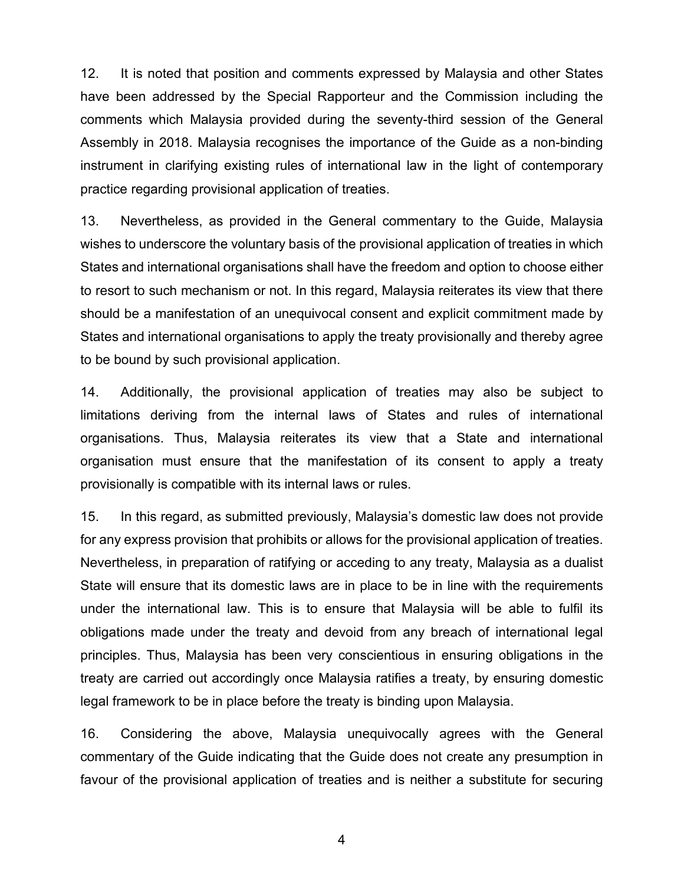12. It is noted that position and comments expressed by Malaysia and other States have been addressed by the Special Rapporteur and the Commission including the comments which Malaysia provided during the seventy-third session of the General Assembly in 2018. Malaysia recognises the importance of the Guide as a non-binding instrument in clarifying existing rules of international law in the light of contemporary practice regarding provisional application of treaties.

13. Nevertheless, as provided in the General commentary to the Guide, Malaysia wishes to underscore the voluntary basis of the provisional application of treaties in which States and international organisations shall have the freedom and option to choose either to resort to such mechanism or not. In this regard, Malaysia reiterates its view that there should be a manifestation of an unequivocal consent and explicit commitment made by States and international organisations to apply the treaty provisionally and thereby agree to be bound by such provisional application.

14. Additionally, the provisional application of treaties may also be subject to limitations deriving from the internal laws of States and rules of international organisations. Thus, Malaysia reiterates its view that a State and international organisation must ensure that the manifestation of its consent to apply a treaty provisionally is compatible with its internal laws or rules.

15. In this regard, as submitted previously, Malaysia's domestic law does not provide for any express provision that prohibits or allows for the provisional application of treaties. Nevertheless, in preparation of ratifying or acceding to any treaty, Malaysia as a dualist State will ensure that its domestic laws are in place to be in line with the requirements under the international law. This is to ensure that Malaysia will be able to fulfil its obligations made under the treaty and devoid from any breach of international legal principles. Thus, Malaysia has been very conscientious in ensuring obligations in the treaty are carried out accordingly once Malaysia ratifies a treaty, by ensuring domestic legal framework to be in place before the treaty is binding upon Malaysia.

16. Considering the above, Malaysia unequivocally agrees with the General commentary of the Guide indicating that the Guide does not create any presumption in favour of the provisional application of treaties and is neither a substitute for securing

4